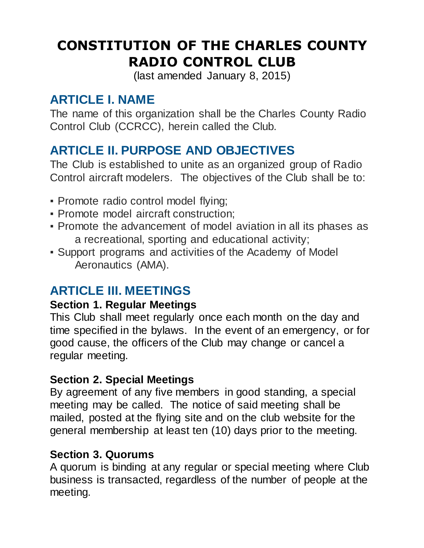# **CONSTITUTION OF THE CHARLES COUNTY RADIO CONTROL CLUB**

(last amended January 8, 2015)

# **ARTICLE I. NAME**

The name of this organization shall be the Charles County Radio Control Club (CCRCC), herein called the Club.

# **ARTICLE II. PURPOSE AND OBJECTIVES**

The Club is established to unite as an organized group of Radio Control aircraft modelers. The objectives of the Club shall be to:

- Promote radio control model flying;
- **Promote model aircraft construction:**
- Promote the advancement of model aviation in all its phases as a recreational, sporting and educational activity;
- Support programs and activities of the Academy of Model Aeronautics (AMA).

# **ARTICLE III. MEETINGS**

#### **Section 1. Regular Meetings**

This Club shall meet regularly once each month on the day and time specified in the bylaws. In the event of an emergency, or for good cause, the officers of the Club may change or cancel a regular meeting.

## **Section 2. Special Meetings**

By agreement of any five members in good standing, a special meeting may be called. The notice of said meeting shall be mailed, posted at the flying site and on the club website for the general membership at least ten (10) days prior to the meeting.

## **Section 3. Quorums**

A quorum is binding at any regular or special meeting where Club business is transacted, regardless of the number of people at the meeting.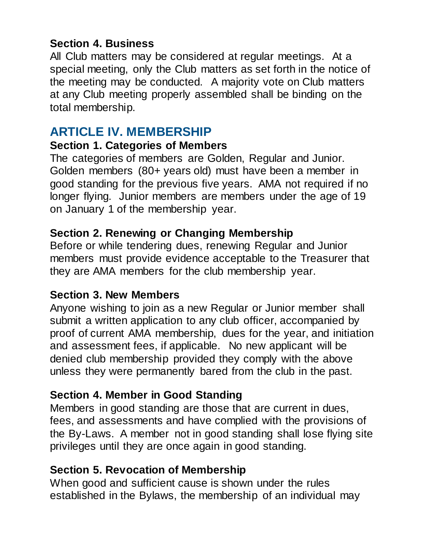### **Section 4. Business**

All Club matters may be considered at regular meetings. At a special meeting, only the Club matters as set forth in the notice of the meeting may be conducted. A majority vote on Club matters at any Club meeting properly assembled shall be binding on the total membership.

# **ARTICLE IV. MEMBERSHIP**

#### **Section 1. Categories of Members**

The categories of members are Golden, Regular and Junior. Golden members (80+ years old) must have been a member in good standing for the previous five years. AMA not required if no longer flying. Junior members are members under the age of 19 on January 1 of the membership year.

#### **Section 2. Renewing or Changing Membership**

Before or while tendering dues, renewing Regular and Junior members must provide evidence acceptable to the Treasurer that they are AMA members for the club membership year.

#### **Section 3. New Members**

Anyone wishing to join as a new Regular or Junior member shall submit a written application to any club officer, accompanied by proof of current AMA membership, dues for the year, and initiation and assessment fees, if applicable. No new applicant will be denied club membership provided they comply with the above unless they were permanently bared from the club in the past.

#### **Section 4. Member in Good Standing**

Members in good standing are those that are current in dues, fees, and assessments and have complied with the provisions of the By-Laws. A member not in good standing shall lose flying site privileges until they are once again in good standing.

#### **Section 5. Revocation of Membership**

When good and sufficient cause is shown under the rules established in the Bylaws, the membership of an individual may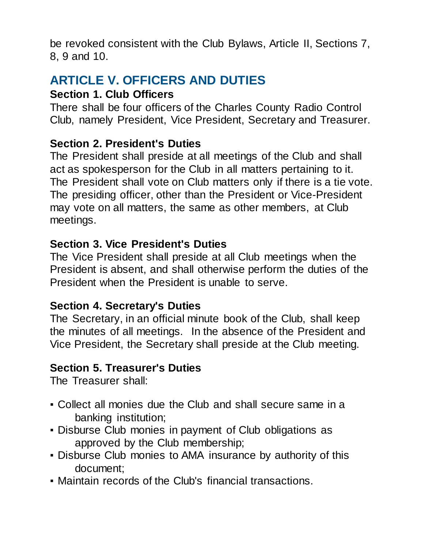be revoked consistent with the Club Bylaws, Article II, Sections 7, 8, 9 and 10.

# **ARTICLE V. OFFICERS AND DUTIES**

### **Section 1. Club Officers**

There shall be four officers of the Charles County Radio Control Club, namely President, Vice President, Secretary and Treasurer.

# **Section 2. President's Duties**

The President shall preside at all meetings of the Club and shall act as spokesperson for the Club in all matters pertaining to it. The President shall vote on Club matters only if there is a tie vote. The presiding officer, other than the President or Vice-President may vote on all matters, the same as other members, at Club meetings.

## **Section 3. Vice President's Duties**

The Vice President shall preside at all Club meetings when the President is absent, and shall otherwise perform the duties of the President when the President is unable to serve.

## **Section 4. Secretary's Duties**

The Secretary, in an official minute book of the Club, shall keep the minutes of all meetings. In the absence of the President and Vice President, the Secretary shall preside at the Club meeting.

## **Section 5. Treasurer's Duties**

The Treasurer shall:

- Collect all monies due the Club and shall secure same in a banking institution;
- Disburse Club monies in payment of Club obligations as approved by the Club membership;
- Disburse Club monies to AMA insurance by authority of this document;
- Maintain records of the Club's financial transactions.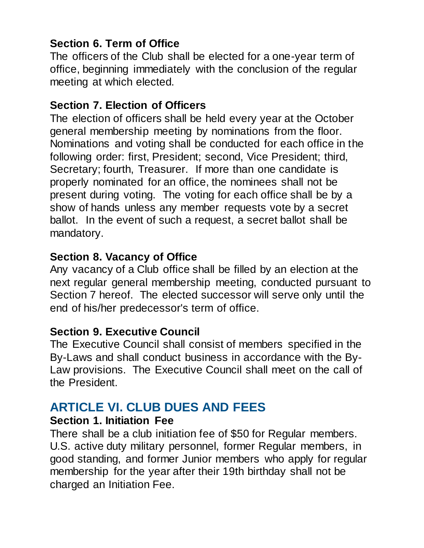## **Section 6. Term of Office**

The officers of the Club shall be elected for a one-year term of office, beginning immediately with the conclusion of the regular meeting at which elected.

### **Section 7. Election of Officers**

The election of officers shall be held every year at the October general membership meeting by nominations from the floor. Nominations and voting shall be conducted for each office in the following order: first, President; second, Vice President; third, Secretary; fourth, Treasurer. If more than one candidate is properly nominated for an office, the nominees shall not be present during voting. The voting for each office shall be by a show of hands unless any member requests vote by a secret ballot. In the event of such a request, a secret ballot shall be mandatory.

### **Section 8. Vacancy of Office**

Any vacancy of a Club office shall be filled by an election at the next regular general membership meeting, conducted pursuant to Section 7 hereof. The elected successor will serve only until the end of his/her predecessor's term of office.

## **Section 9. Executive Council**

The Executive Council shall consist of members specified in the By-Laws and shall conduct business in accordance with the By-Law provisions. The Executive Council shall meet on the call of the President.

# **ARTICLE VI. CLUB DUES AND FEES**

#### **Section 1. Initiation Fee**

There shall be a club initiation fee of \$50 for Regular members. U.S. active duty military personnel, former Regular members, in good standing, and former Junior members who apply for regular membership for the year after their 19th birthday shall not be charged an Initiation Fee.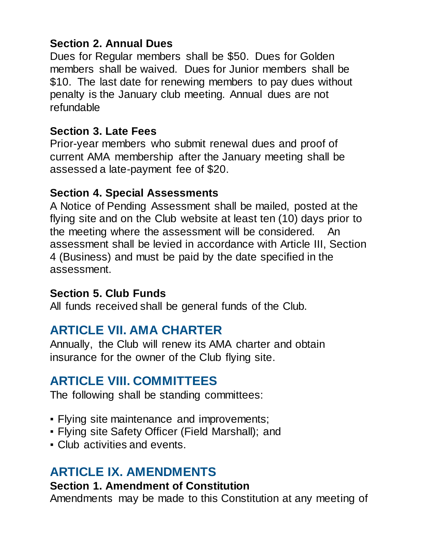## **Section 2. Annual Dues**

Dues for Regular members shall be \$50. Dues for Golden members shall be waived. Dues for Junior members shall be \$10. The last date for renewing members to pay dues without penalty is the January club meeting. Annual dues are not refundable

#### **Section 3. Late Fees**

Prior-year members who submit renewal dues and proof of current AMA membership after the January meeting shall be assessed a late-payment fee of \$20.

#### **Section 4. Special Assessments**

A Notice of Pending Assessment shall be mailed, posted at the flying site and on the Club website at least ten (10) days prior to the meeting where the assessment will be considered. An assessment shall be levied in accordance with Article III, Section 4 (Business) and must be paid by the date specified in the assessment.

#### **Section 5. Club Funds**

All funds received shall be general funds of the Club.

# **ARTICLE VII. AMA CHARTER**

Annually, the Club will renew its AMA charter and obtain insurance for the owner of the Club flying site.

# **ARTICLE VIII. COMMITTEES**

The following shall be standing committees:

- Flying site maintenance and improvements;
- Flying site Safety Officer (Field Marshall); and
- Club activities and events.

# **ARTICLE IX. AMENDMENTS**

## **Section 1. Amendment of Constitution**

Amendments may be made to this Constitution at any meeting of